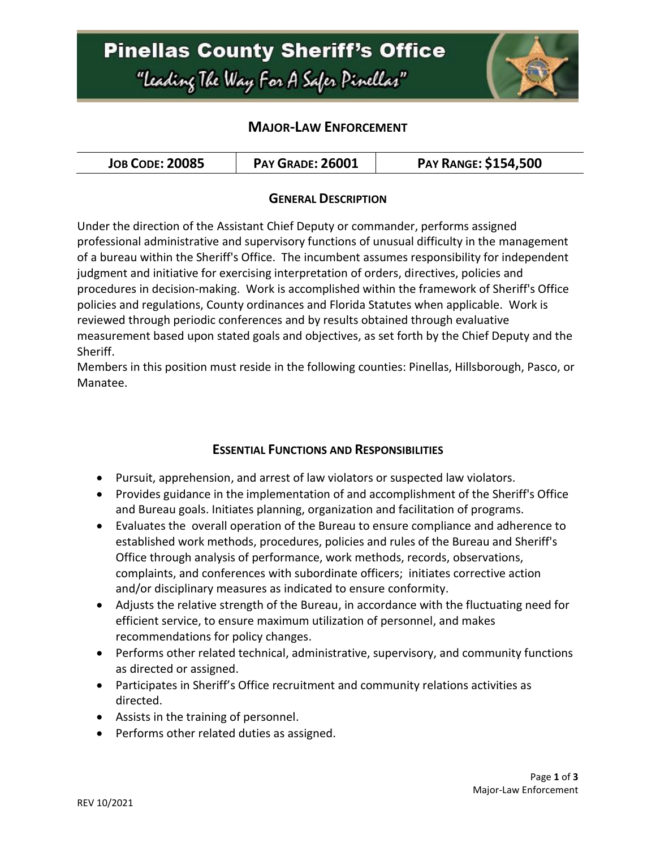# **Pinellas County Sheriff's Office** "Leading The Way For A Safer Pinellar"



### **MAJOR-LAW ENFORCEMENT**

| <b>JOB CODE: 20085</b> | <b>PAY GRADE: 26001</b> | <b>PAY RANGE: \$154,500</b> |
|------------------------|-------------------------|-----------------------------|
|------------------------|-------------------------|-----------------------------|

### **GENERAL DESCRIPTION**

Under the direction of the Assistant Chief Deputy or commander, performs assigned professional administrative and supervisory functions of unusual difficulty in the management of a bureau within the Sheriff's Office. The incumbent assumes responsibility for independent judgment and initiative for exercising interpretation of orders, directives, policies and procedures in decision-making. Work is accomplished within the framework of Sheriff's Office policies and regulations, County ordinances and Florida Statutes when applicable. Work is reviewed through periodic conferences and by results obtained through evaluative measurement based upon stated goals and objectives, as set forth by the Chief Deputy and the Sheriff.

Members in this position must reside in the following counties: Pinellas, Hillsborough, Pasco, or Manatee.

#### **ESSENTIAL FUNCTIONS AND RESPONSIBILITIES**

- Pursuit, apprehension, and arrest of law violators or suspected law violators.
- Provides guidance in the implementation of and accomplishment of the Sheriff's Office and Bureau goals. Initiates planning, organization and facilitation of programs.
- Evaluates the overall operation of the Bureau to ensure compliance and adherence to established work methods, procedures, policies and rules of the Bureau and Sheriff's Office through analysis of performance, work methods, records, observations, complaints, and conferences with subordinate officers; initiates corrective action and/or disciplinary measures as indicated to ensure conformity.
- Adjusts the relative strength of the Bureau, in accordance with the fluctuating need for efficient service, to ensure maximum utilization of personnel, and makes recommendations for policy changes.
- Performs other related technical, administrative, supervisory, and community functions as directed or assigned.
- Participates in Sheriff's Office recruitment and community relations activities as directed.
- Assists in the training of personnel.
- Performs other related duties as assigned.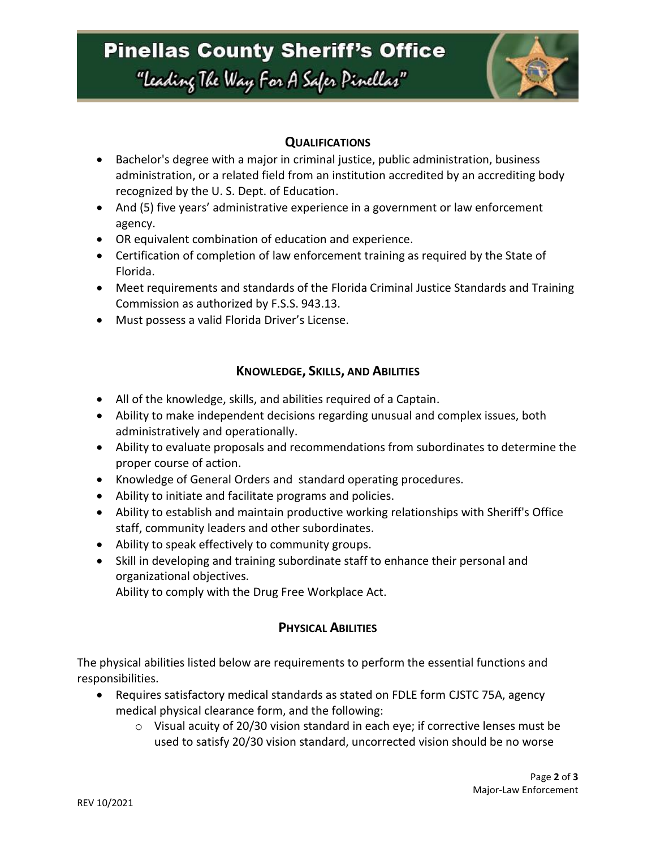# **Pinellas County Sheriff's Office**

"Leading The Way For A Safer Pinellar"



### **QUALIFICATIONS**

- Bachelor's degree with a major in criminal justice, public administration, business administration, or a related field from an institution accredited by an accrediting body recognized by the U. S. Dept. of Education.
- And (5) five years' administrative experience in a government or law enforcement agency.
- OR equivalent combination of education and experience.
- Certification of completion of law enforcement training as required by the State of Florida.
- Meet requirements and standards of the Florida Criminal Justice Standards and Training Commission as authorized by F.S.S. 943.13.
- Must possess a valid Florida Driver's License.

## **KNOWLEDGE, SKILLS, AND ABILITIES**

- All of the knowledge, skills, and abilities required of a Captain.
- Ability to make independent decisions regarding unusual and complex issues, both administratively and operationally.
- Ability to evaluate proposals and recommendations from subordinates to determine the proper course of action.
- Knowledge of General Orders and standard operating procedures.
- Ability to initiate and facilitate programs and policies.
- Ability to establish and maintain productive working relationships with Sheriff's Office staff, community leaders and other subordinates.
- Ability to speak effectively to community groups.
- Skill in developing and training subordinate staff to enhance their personal and organizational objectives.

Ability to comply with the Drug Free Workplace Act.

## **PHYSICAL ABILITIES**

The physical abilities listed below are requirements to perform the essential functions and responsibilities.

- Requires satisfactory medical standards as stated on FDLE form CJSTC 75A, agency medical physical clearance form, and the following:
	- $\circ$  Visual acuity of 20/30 vision standard in each eye; if corrective lenses must be used to satisfy 20/30 vision standard, uncorrected vision should be no worse